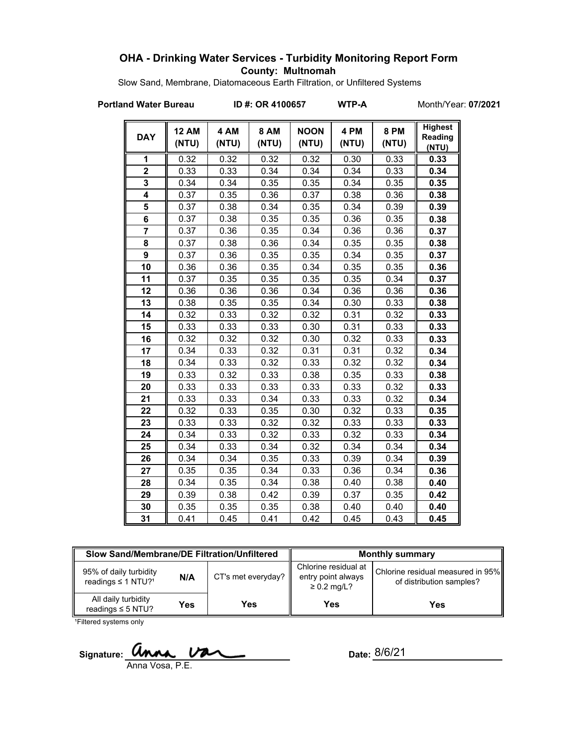### **OHA - Drinking Water Services - Turbidity Monitoring Report Form County: Multnomah**

Slow Sand, Membrane, Diatomaceous Earth Filtration, or Unfiltered Systems

**Portland Water Bureau ID #: OR 4100657 WTP-A** Month/Year: **07/2021**

| <b>DAY</b>              | <b>12 AM</b><br>(NTU) | 4 AM<br>(NTU) | <b>8 AM</b><br>(NTU) | <b>NOON</b><br>(NTU) | 4 PM<br>(NTU) | <b>8 PM</b><br>(NTU) | <b>Highest</b><br>Reading<br>(NTU) |
|-------------------------|-----------------------|---------------|----------------------|----------------------|---------------|----------------------|------------------------------------|
| 1                       | 0.32                  | 0.32          | 0.32                 | 0.32                 | 0.30          | 0.33                 | 0.33                               |
| $\overline{2}$          | 0.33                  | 0.33          | 0.34                 | 0.34                 | 0.34          | 0.33                 | 0.34                               |
| 3                       | 0.34                  | 0.34          | 0.35                 | 0.35                 | 0.34          | 0.35                 | 0.35                               |
| $\overline{\mathbf{4}}$ | 0.37                  | 0.35          | 0.36                 | 0.37                 | 0.38          | 0.36                 | 0.38                               |
| 5                       | 0.37                  | 0.38          | 0.34                 | 0.35                 | 0.34          | 0.39                 | 0.39                               |
| 6                       | 0.37                  | 0.38          | 0.35                 | 0.35                 | 0.36          | 0.35                 | 0.38                               |
| $\overline{7}$          | 0.37                  | 0.36          | 0.35                 | 0.34                 | 0.36          | 0.36                 | 0.37                               |
| 8                       | 0.37                  | 0.38          | 0.36                 | 0.34                 | 0.35          | 0.35                 | 0.38                               |
| 9                       | 0.37                  | 0.36          | 0.35                 | 0.35                 | 0.34          | 0.35                 | 0.37                               |
| 10                      | 0.36                  | 0.36          | 0.35                 | 0.34                 | 0.35          | 0.35                 | 0.36                               |
| 11                      | 0.37                  | 0.35          | 0.35                 | 0.35                 | 0.35          | 0.34                 | 0.37                               |
| 12                      | 0.36                  | 0.36          | 0.36                 | 0.34                 | 0.36          | 0.36                 | 0.36                               |
| 13                      | 0.38                  | 0.35          | 0.35                 | 0.34                 | 0.30          | 0.33                 | 0.38                               |
| 14                      | 0.32                  | 0.33          | 0.32                 | 0.32                 | 0.31          | 0.32                 | 0.33                               |
| 15                      | 0.33                  | 0.33          | 0.33                 | 0.30                 | 0.31          | 0.33                 | 0.33                               |
| 16                      | 0.32                  | 0.32          | 0.32                 | 0.30                 | 0.32          | 0.33                 | 0.33                               |
| 17                      | 0.34                  | 0.33          | 0.32                 | 0.31                 | 0.31          | 0.32                 | 0.34                               |
| 18                      | 0.34                  | 0.33          | 0.32                 | 0.33                 | 0.32          | 0.32                 | 0.34                               |
| 19                      | 0.33                  | 0.32          | 0.33                 | 0.38                 | 0.35          | 0.33                 | 0.38                               |
| 20                      | 0.33                  | 0.33          | 0.33                 | 0.33                 | 0.33          | 0.32                 | 0.33                               |
| 21                      | 0.33                  | 0.33          | 0.34                 | 0.33                 | 0.33          | 0.32                 | 0.34                               |
| 22                      | 0.32                  | 0.33          | 0.35                 | 0.30                 | 0.32          | 0.33                 | 0.35                               |
| 23                      | 0.33                  | 0.33          | 0.32                 | 0.32                 | 0.33          | 0.33                 | 0.33                               |
| 24                      | 0.34                  | 0.33          | 0.32                 | 0.33                 | 0.32          | 0.33                 | 0.34                               |
| 25                      | 0.34                  | 0.33          | 0.34                 | 0.32                 | 0.34          | 0.34                 | 0.34                               |
| 26                      | 0.34                  | 0.34          | 0.35                 | 0.33                 | 0.39          | 0.34                 | 0.39                               |
| 27                      | 0.35                  | 0.35          | 0.34                 | 0.33                 | 0.36          | 0.34                 | 0.36                               |
| 28                      | 0.34                  | 0.35          | 0.34                 | 0.38                 | 0.40          | 0.38                 | 0.40                               |
| 29                      | 0.39                  | 0.38          | 0.42                 | 0.39                 | 0.37          | 0.35                 | 0.42                               |
| 30                      | 0.35                  | 0.35          | 0.35                 | 0.38                 | 0.40          | 0.40                 | 0.40                               |
| 31                      | 0.41                  | 0.45          | 0.41                 | 0.42                 | 0.45          | 0.43                 | 0.45                               |

| Slow Sand/Membrane/DE Filtration/Unfiltered                          |     |                    | <b>Monthly summary</b>                                         |                                                               |  |
|----------------------------------------------------------------------|-----|--------------------|----------------------------------------------------------------|---------------------------------------------------------------|--|
| 95% of daily turbidity<br>N/A<br>readings $\leq$ 1 NTU? <sup>1</sup> |     | CT's met everyday? | Chlorine residual at<br>entry point always<br>$\geq 0.2$ mg/L? | Chlorine residual measured in 95%<br>of distribution samples? |  |
| All daily turbidity<br>readings $\leq$ 5 NTU?                        | Yes | Yes                | <b>Yes</b>                                                     | Yes                                                           |  |

1Filtered systems only

Signature: **Unna Va** Anna Vosa, P.E.

Date: 8/6/21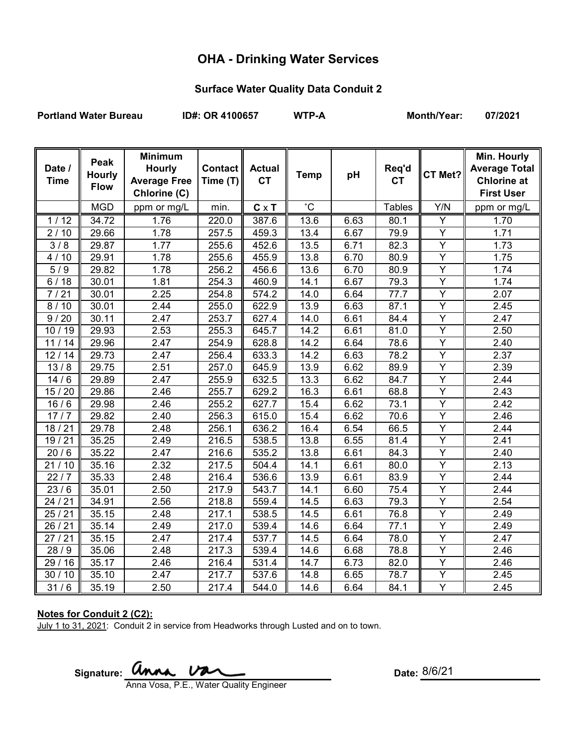# **OHA - Drinking Water Services**

### **Surface Water Quality Data Conduit 2**

Portland Water Bureau **ID#: OR 4100657** WTP-A Month/Year: 07/2021

| Date /<br><b>Time</b> | Peak<br><b>Hourly</b><br><b>Flow</b> | <b>Minimum</b><br><b>Hourly</b><br><b>Average Free</b><br>Chlorine (C) | <b>Contact</b><br>Time (T) | <b>Actual</b><br><b>CT</b> | <b>Temp</b> | pH   | Req'd<br><b>CT</b> | CT Met?                 | Min. Hourly<br><b>Average Total</b><br><b>Chlorine at</b><br><b>First User</b> |
|-----------------------|--------------------------------------|------------------------------------------------------------------------|----------------------------|----------------------------|-------------|------|--------------------|-------------------------|--------------------------------------------------------------------------------|
|                       | <b>MGD</b>                           | ppm or mg/L                                                            | min.                       | $C \times T$               | $^{\circ}C$ |      | <b>Tables</b>      | Y/N                     | ppm or mg/L                                                                    |
| 1/12                  | 34.72                                | 1.76                                                                   | $\overline{220.0}$         | 387.6                      | 13.6        | 6.63 | 80.1               | Ÿ                       | 1.70                                                                           |
| 2/10                  | 29.66                                | 1.78                                                                   | 257.5                      | 459.3                      | 13.4        | 6.67 | 79.9               | Y                       | 1.71                                                                           |
| 3/8                   | 29.87                                | 1.77                                                                   | 255.6                      | 452.6                      | 13.5        | 6.71 | 82.3               | Y                       | 1.73                                                                           |
| 4/10                  | 29.91                                | 1.78                                                                   | 255.6                      | 455.9                      | 13.8        | 6.70 | 80.9               | Y                       | 1.75                                                                           |
| 5/9                   | 29.82                                | 1.78                                                                   | 256.2                      | 456.6                      | 13.6        | 6.70 | 80.9               | Y                       | 1.74                                                                           |
| 6/18                  | 30.01                                | 1.81                                                                   | $\overline{2}54.3$         | 460.9                      | 14.1        | 6.67 | 79.3               | Y                       | 1.74                                                                           |
| 7/21                  | 30.01                                | 2.25                                                                   | 254.8                      | 574.2                      | 14.0        | 6.64 | 77.7               | Y                       | 2.07                                                                           |
| 8/10                  | 30.01                                | 2.44                                                                   | 255.0                      | 622.9                      | 13.9        | 6.63 | 87.1               | $\overline{Y}$          | 2.45                                                                           |
| 9/20                  | 30.11                                | 2.47                                                                   | 253.7                      | 627.4                      | 14.0        | 6.61 | 84.4               | Y                       | 2.47                                                                           |
| 10/19                 | 29.93                                | 2.53                                                                   | 255.3                      | 645.7                      | 14.2        | 6.61 | 81.0               | $\overline{Y}$          | 2.50                                                                           |
| 11/14                 | 29.96                                | 2.47                                                                   | 254.9                      | 628.8                      | 14.2        | 6.64 | 78.6               | Y                       | 2.40                                                                           |
| 12/14                 | 29.73                                | 2.47                                                                   | 256.4                      | 633.3                      | 14.2        | 6.63 | 78.2               | $\overline{Y}$          | 2.37                                                                           |
| 13/8                  | 29.75                                | 2.51                                                                   | 257.0                      | 645.9                      | 13.9        | 6.62 | 89.9               | Y                       | 2.39                                                                           |
| 14/6                  | 29.89                                | 2.47                                                                   | 255.9                      | 632.5                      | 13.3        | 6.62 | 84.7               | $\overline{\mathsf{Y}}$ | $\overline{2.44}$                                                              |
| 15/20                 | 29.86                                | 2.46                                                                   | 255.7                      | 629.2                      | 16.3        | 6.61 | 68.8               | $\overline{Y}$          | 2.43                                                                           |
| 16/6                  | 29.98                                | 2.46                                                                   | 255.2                      | 627.7                      | 15.4        | 6.62 | 73.1               | $\overline{Y}$          | 2.42                                                                           |
| 17/7                  | 29.82                                | 2.40                                                                   | 256.3                      | 615.0                      | 15.4        | 6.62 | 70.6               | $\overline{Y}$          | 2.46                                                                           |
| 18/21                 | 29.78                                | 2.48                                                                   | 256.1                      | 636.2                      | 16.4        | 6.54 | 66.5               | Y                       | 2.44                                                                           |
| 19/21                 | 35.25                                | 2.49                                                                   | 216.5                      | 538.5                      | 13.8        | 6.55 | 81.4               | Ÿ                       | 2.41                                                                           |
| 20/6                  | 35.22                                | 2.47                                                                   | 216.6                      | 535.2                      | 13.8        | 6.61 | 84.3               | Y                       | 2.40                                                                           |
| 21/10                 | 35.16                                | 2.32                                                                   | 217.5                      | 504.4                      | 14.1        | 6.61 | 80.0               | Y                       | 2.13                                                                           |
| 22/7                  | 35.33                                | 2.48                                                                   | 216.4                      | 536.6                      | 13.9        | 6.61 | 83.9               | Y                       | 2.44                                                                           |
| $\frac{23}{6}$        | 35.01                                | 2.50                                                                   | 217.9                      | 543.7                      | 14.1        | 6.60 | 75.4               | $\overline{Y}$          | 2.44                                                                           |
| 24/21                 | 34.91                                | 2.56                                                                   | 218.8                      | 559.4                      | 14.5        | 6.63 | 79.3               | Y                       | 2.54                                                                           |
| 25/21                 | 35.15                                | 2.48                                                                   | 217.1                      | 538.5                      | 14.5        | 6.61 | 76.8               | Y                       | 2.49                                                                           |
| 26/21                 | 35.14                                | 2.49                                                                   | 217.0                      | 539.4                      | 14.6        | 6.64 | 77.1               | Y                       | 2.49                                                                           |
| 27/21                 | 35.15                                | 2.47                                                                   | 217.4                      | 537.7                      | 14.5        | 6.64 | 78.0               | $\overline{Y}$          | $\overline{2}.47$                                                              |
| 28/9                  | 35.06                                | 2.48                                                                   | 217.3                      | 539.4                      | 14.6        | 6.68 | 78.8               | $\overline{Y}$          | 2.46                                                                           |
| 29 / 16               | 35.17                                | 2.46                                                                   | 216.4                      | 531.4                      | 14.7        | 6.73 | 82.0               | Y                       | 2.46                                                                           |
| 30/10                 | 35.10                                | 2.47                                                                   | 217.7                      | 537.6                      | 14.8        | 6.65 | 78.7               | Ÿ                       | 2.45                                                                           |
| 31/6                  | 35.19                                | 2.50                                                                   | 217.4                      | 544.0                      | 14.6        | 6.64 | 84.1               | Y                       | 2.45                                                                           |

#### **Notes for Conduit 2 (C2):**

July 1 to 31, 2021: Conduit 2 in service from Headworks through Lusted and on to town.

Signature: **Unna Va** Anna Vosa, P.E., Water Quality Engineer

Date: 8/6/21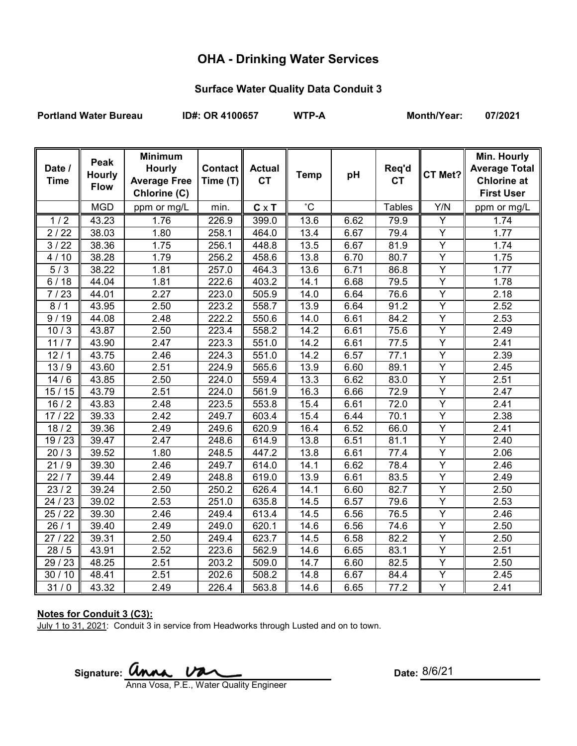# **OHA - Drinking Water Services**

### **Surface Water Quality Data Conduit 3**

Portland Water Bureau **ID#: OR 4100657** WTP-A Month/Year: 07/2021

| Date /<br><b>Time</b> | Peak<br><b>Hourly</b><br><b>Flow</b> | <b>Minimum</b><br><b>Hourly</b><br><b>Average Free</b><br>Chlorine (C) | <b>Contact</b><br>Time (T) | <b>Actual</b><br><b>CT</b> | <b>Temp</b>       | pH   | Req'd<br><b>CT</b> | CT Met?                 | Min. Hourly<br><b>Average Total</b><br><b>Chlorine at</b><br><b>First User</b> |
|-----------------------|--------------------------------------|------------------------------------------------------------------------|----------------------------|----------------------------|-------------------|------|--------------------|-------------------------|--------------------------------------------------------------------------------|
|                       | <b>MGD</b>                           | ppm or mg/L                                                            | min.                       | $C \times T$               | $^{\circ}C$       |      | <b>Tables</b>      | Y/N                     | ppm or mg/L                                                                    |
|                       |                                      |                                                                        |                            |                            |                   |      |                    |                         |                                                                                |
| 1/2                   | 43.23                                | 1.76                                                                   | 226.9                      | 399.0                      | 13.6              | 6.62 | 79.9               | Υ                       | 1.74                                                                           |
| 2/22                  | 38.03                                | 1.80                                                                   | 258.1                      | 464.0                      | 13.4              | 6.67 | 79.4               | Y                       | 1.77                                                                           |
| 3/22                  | 38.36                                | 1.75                                                                   | 256.1                      | 448.8                      | 13.5              | 6.67 | 81.9               | Y                       | 1.74                                                                           |
| 10<br>4/              | 38.28                                | 1.79                                                                   | 256.2                      | 458.6                      | 13.8              | 6.70 | 80.7               | Y                       | 1.75                                                                           |
| 5/3                   | 38.22                                | 1.81                                                                   | 257.0                      | 464.3                      | 13.6              | 6.71 | 86.8               | Y                       | 1.77                                                                           |
| 6/18                  | 44.04                                | 1.81                                                                   | 222.6                      | 403.2                      | 14.1              | 6.68 | 79.5               | Y                       | 1.78                                                                           |
| 7/23                  | 44.01                                | 2.27                                                                   | 223.0                      | 505.9                      | 14.0              | 6.64 | 76.6               | Y                       | 2.18                                                                           |
| 8/1                   | 43.95                                | 2.50                                                                   | 223.2                      | 558.7                      | 13.9              | 6.64 | 91.2               | $\overline{Y}$          | 2.52                                                                           |
| 9/19                  | 44.08                                | 2.48                                                                   | 222.2                      | 550.6                      | 14.0              | 6.61 | 84.2               | $\overline{Y}$          | 2.53                                                                           |
| 10/3                  | 43.87                                | 2.50                                                                   | 223.4                      | 558.2                      | 14.2              | 6.61 | 75.6               | $\overline{\mathsf{Y}}$ | 2.49                                                                           |
| 11/7                  | 43.90                                | 2.47                                                                   | 223.3                      | 551.0                      | 14.2              | 6.61 | 77.5               | $\overline{Y}$          | 2.41                                                                           |
| 12/1                  | 43.75                                | 2.46                                                                   | 224.3                      | 551.0                      | $\overline{14.2}$ | 6.57 | 77.1               | $\overline{\mathsf{Y}}$ | 2.39                                                                           |
| 13/9                  | 43.60                                | 2.51                                                                   | 224.9                      | 565.6                      | 13.9              | 6.60 | 89.1               | Y                       | 2.45                                                                           |
| 14/6                  | 43.85                                | 2.50                                                                   | 224.0                      | 559.4                      | 13.3              | 6.62 | 83.0               | $\overline{\mathsf{Y}}$ | 2.51                                                                           |
| 15/15                 | 43.79                                | 2.51                                                                   | 224.0                      | 561.9                      | 16.3              | 6.66 | 72.9               | $\overline{Y}$          | 2.47                                                                           |
| 16/2                  | 43.83                                | 2.48                                                                   | 223.5                      | 553.8                      | 15.4              | 6.61 | 72.0               | $\overline{Y}$          | 2.41                                                                           |
| 17/22                 | 39.33                                | 2.42                                                                   | 249.7                      | 603.4                      | 15.4              | 6.44 | 70.1               | Ÿ                       | 2.38                                                                           |
| 18/2                  | 39.36                                | 2.49                                                                   | 249.6                      | 620.9                      | 16.4              | 6.52 | 66.0               | $\overline{Y}$          | 2.41                                                                           |
| 19 / 23               | 39.47                                | 2.47                                                                   | 248.6                      | 614.9                      | 13.8              | 6.51 | 81.1               | $\overline{Y}$          | 2.40                                                                           |
| 20/3                  | 39.52                                | 1.80                                                                   | 248.5                      | 447.2                      | 13.8              | 6.61 | 77.4               | Y                       | 2.06                                                                           |
| 21/9                  | 39.30                                | 2.46                                                                   | 249.7                      | 614.0                      | 14.1              | 6.62 | 78.4               | Y                       | 2.46                                                                           |
| 22/7                  | 39.44                                | 2.49                                                                   | 248.8                      | 619.0                      | 13.9              | 6.61 | 83.5               | Y                       | 2.49                                                                           |
| $\frac{23}{2}$        | 39.24                                | 2.50                                                                   | 250.2                      | 626.4                      | 14.1              | 6.60 | 82.7               | $\overline{\mathsf{Y}}$ | 2.50                                                                           |
| 24 / 23               | 39.02                                | 2.53                                                                   | 251.0                      | 635.8                      | 14.5              | 6.57 | 79.6               | Y                       | 2.53                                                                           |
| 25/22                 | 39.30                                | 2.46                                                                   | 249.4                      | 613.4                      | 14.5              | 6.56 | 76.5               | Y                       | 2.46                                                                           |
| 26/1                  | 39.40                                | 2.49                                                                   | 249.0                      | 620.1                      | 14.6              | 6.56 | 74.6               | $\overline{Y}$          | 2.50                                                                           |
| 27/22                 | 39.31                                | 2.50                                                                   | 249.4                      | 623.7                      | 14.5              | 6.58 | 82.2               | Y                       | 2.50                                                                           |
| 28/5                  | 43.91                                | 2.52                                                                   | 223.6                      | 562.9                      | 14.6              | 6.65 | 83.1               | $\overline{Y}$          | 2.51                                                                           |
| 29 / 23               | 48.25                                | 2.51                                                                   | 203.2                      | 509.0                      | 14.7              | 6.60 | 82.5               | Y                       | 2.50                                                                           |
| 30/10                 | 48.41                                | 2.51                                                                   | 202.6                      | 508.2                      | 14.8              | 6.67 | 84.4               | Ÿ                       | 2.45                                                                           |
| 31/0                  | 43.32                                | 2.49                                                                   | 226.4                      | 563.8                      | 14.6              | 6.65 | 77.2               | Y                       | 2.41                                                                           |

#### **Notes for Conduit 3 (C3):**

July 1 to 31, 2021: Conduit 3 in service from Headworks through Lusted and on to town.

Signature: **UNNA.** UNNA COMEXALLE STRAINING: Date:

Date: 8/6/21

Anna Vosa, P.E., Water Quality Engineer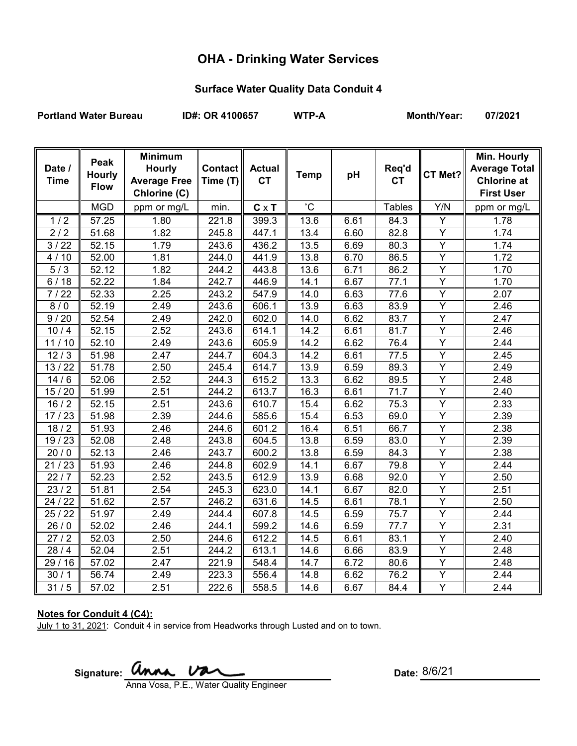# **OHA - Drinking Water Services**

### **Surface Water Quality Data Conduit 4**

Portland Water Bureau **ID#: OR 4100657** WTP-A Month/Year: 07/2021

| Date /<br><b>Time</b> | Peak<br><b>Hourly</b><br><b>Flow</b> | <b>Minimum</b><br><b>Hourly</b><br><b>Average Free</b><br>Chlorine (C) | <b>Contact</b><br>Time (T) | <b>Actual</b><br><b>CT</b> | <b>Temp</b>     | pH   | Req'd<br><b>CT</b> | CT Met?                 | Min. Hourly<br><b>Average Total</b><br><b>Chlorine at</b><br><b>First User</b> |
|-----------------------|--------------------------------------|------------------------------------------------------------------------|----------------------------|----------------------------|-----------------|------|--------------------|-------------------------|--------------------------------------------------------------------------------|
|                       | <b>MGD</b>                           | ppm or mg/L                                                            | min.                       | $C \times T$               | $\rm ^{\circ}C$ |      | <b>Tables</b>      | Y/N                     | ppm or mg/L                                                                    |
| 1/2                   | 57.25                                | 1.80                                                                   | 221.8                      | 399.3                      | 13.6            | 6.61 | 84.3               | Υ                       | 1.78                                                                           |
| 2/2                   | 51.68                                | 1.82                                                                   | 245.8                      | 447.1                      | 13.4            | 6.60 | 82.8               | $\overline{Y}$          | 1.74                                                                           |
| 3/22                  | 52.15                                | 1.79                                                                   | 243.6                      | 436.2                      | 13.5            | 6.69 | 80.3               | $\overline{Y}$          | 1.74                                                                           |
| 4/10                  | 52.00                                | 1.81                                                                   | 244.0                      | 441.9                      | 13.8            | 6.70 | 86.5               | Y                       | 1.72                                                                           |
| 5/3                   | 52.12                                | 1.82                                                                   | 244.2                      | 443.8                      | 13.6            | 6.71 | 86.2               | $\overline{Y}$          | 1.70                                                                           |
| 6/18                  | 52.22                                | 1.84                                                                   | 242.7                      | 446.9                      | 14.1            | 6.67 | 77.1               | $\overline{Y}$          | 1.70                                                                           |
| 7/22                  | 52.33                                | 2.25                                                                   | 243.2                      | 547.9                      | 14.0            | 6.63 | 77.6               | $\overline{Y}$          | 2.07                                                                           |
| 8/0                   | 52.19                                | 2.49                                                                   | 243.6                      | 606.1                      | 13.9            | 6.63 | 83.9               | Y                       | 2.46                                                                           |
| 9/20                  | 52.54                                | 2.49                                                                   | 242.0                      | 602.0                      | 14.0            | 6.62 | 83.7               | Y                       | 2.47                                                                           |
| 10/4                  | 52.15                                | 2.52                                                                   | 243.6                      | 614.1                      | 14.2            | 6.61 | 81.7               | Y                       | 2.46                                                                           |
| 11/10                 | 52.10                                | 2.49                                                                   | 243.6                      | 605.9                      | 14.2            | 6.62 | 76.4               | Ÿ                       | 2.44                                                                           |
| 12/3                  | 51.98                                | 2.47                                                                   | 244.7                      | 604.3                      | 14.2            | 6.61 | 77.5               | $\overline{Y}$          | 2.45                                                                           |
| 13/22                 | 51.78                                | 2.50                                                                   | 245.4                      | 614.7                      | 13.9            | 6.59 | 89.3               | $\overline{Y}$          | 2.49                                                                           |
| 14/6                  | $\overline{5}$ 2.06                  | 2.52                                                                   | 244.3                      | 615.2                      | 13.3            | 6.62 | 89.5               | $\overline{Y}$          | 2.48                                                                           |
| 15/20                 | 51.99                                | 2.51                                                                   | 244.2                      | 613.7                      | 16.3            | 6.61 | 71.7               | $\overline{Y}$          | 2.40                                                                           |
| 16/2                  | 52.15                                | 2.51                                                                   | 243.6                      | 610.7                      | 15.4            | 6.62 | 75.3               | Υ                       | 2.33                                                                           |
| 17/23                 | 51.98                                | 2.39                                                                   | 244.6                      | 585.6                      | 15.4            | 6.53 | 69.0               | $\overline{\mathsf{Y}}$ | 2.39                                                                           |
| 18/2                  | 51.93                                | 2.46                                                                   | 244.6                      | 601.2                      | 16.4            | 6.51 | 66.7               | Y                       | 2.38                                                                           |
| 19/23                 | 52.08                                | 2.48                                                                   | 243.8                      | 604.5                      | 13.8            | 6.59 | 83.0               | $\overline{Y}$          | 2.39                                                                           |
| 20/0                  | 52.13                                | 2.46                                                                   | 243.7                      | 600.2                      | 13.8            | 6.59 | 84.3               | Y                       | 2.38                                                                           |
| 21/23                 | 51.93                                | 2.46                                                                   | 244.8                      | 602.9                      | 14.1            | 6.67 | 79.8               | $\overline{Y}$          | 2.44                                                                           |
| 22/7                  | 52.23                                | 2.52                                                                   | 243.5                      | 612.9                      | 13.9            | 6.68 | 92.0               | Y                       | 2.50                                                                           |
| 23/2                  | 51.81                                | 2.54                                                                   | 245.3                      | 623.0                      | 14.1            | 6.67 | 82.0               | $\overline{Y}$          | 2.51                                                                           |
| 24 / 22               | 51.62                                | 2.57                                                                   | 246.2                      | 631.6                      | 14.5            | 6.61 | 78.1               | $\overline{Y}$          | 2.50                                                                           |
| 25/22                 | 51.97                                | 2.49                                                                   | 244.4                      | 607.8                      | 14.5            | 6.59 | 75.7               | Y                       | 2.44                                                                           |
| 26/0                  | $\overline{5}2.02$                   | 2.46                                                                   | 244.1                      | 599.2                      | 14.6            | 6.59 | 77.7               | Y                       | 2.31                                                                           |
| 27/2                  | 52.03                                | 2.50                                                                   | 244.6                      | 612.2                      | 14.5            | 6.61 | 83.1               | Ÿ                       | 2.40                                                                           |
| 28/4                  | 52.04                                | 2.51                                                                   | 244.2                      | 613.1                      | 14.6            | 6.66 | 83.9               | $\overline{Y}$          | 2.48                                                                           |
| 29 / 16               | 57.02                                | 2.47                                                                   | 221.9                      | 548.4                      | 14.7            | 6.72 | 80.6               | Y                       | 2.48                                                                           |
| 30/1                  | 56.74                                | 2.49                                                                   | 223.3                      | 556.4                      | 14.8            | 6.62 | 76.2               | $\overline{Y}$          | 2.44                                                                           |
| 31/5                  | 57.02                                | 2.51                                                                   | 222.6                      | 558.5                      | 14.6            | 6.67 | 84.4               | Y                       | 2.44                                                                           |

#### **Notes for Conduit 4 (C4):**

July 1 to 31, 2021: Conduit 4 in service from Headworks through Lusted and on to town.

Signature: **Unna Va** Anna Vosa, P.E., Water Quality Engineer

Date: 8/6/21